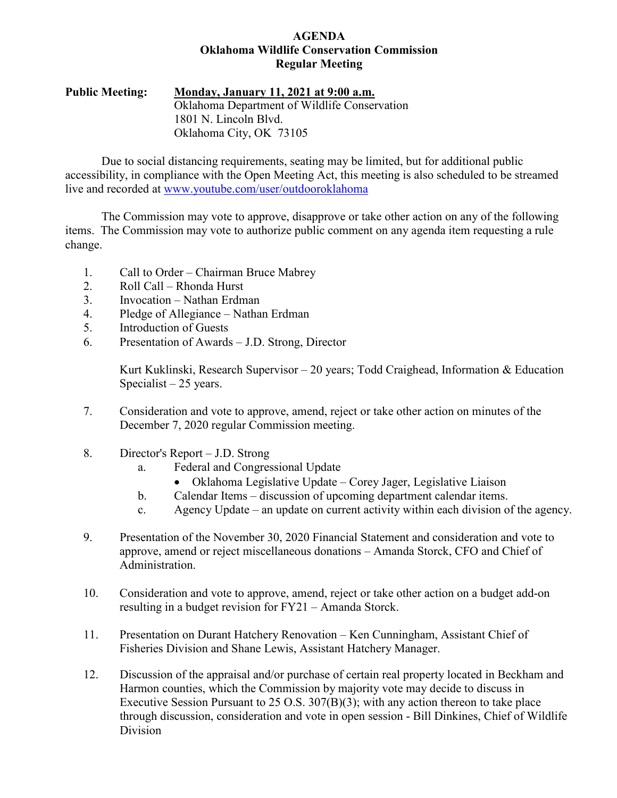# **AGENDA Oklahoma Wildlife Conservation Commission Regular Meeting**

**Public Meeting: Monday, January 11, 2021 at 9:00 a.m.** Oklahoma Department of Wildlife Conservation 1801 N. Lincoln Blvd. Oklahoma City, OK 73105

Due to social distancing requirements, seating may be limited, but for additional public accessibility, in compliance with the Open Meeting Act, this meeting is also scheduled to be streamed live and recorded at [www.youtube.com/user/outdooroklahoma](http://www.youtube.com/user/outdooroklahoma)

The Commission may vote to approve, disapprove or take other action on any of the following items. The Commission may vote to authorize public comment on any agenda item requesting a rule change.

- 1. Call to Order Chairman Bruce Mabrey
- 2. Roll Call Rhonda Hurst
- 3. Invocation Nathan Erdman
- 4. Pledge of Allegiance Nathan Erdman
- 5. Introduction of Guests
- 6. Presentation of Awards J.D. Strong, Director

Kurt Kuklinski, Research Supervisor – 20 years; Todd Craighead, Information & Education Specialist  $-25$  years.

- 7. Consideration and vote to approve, amend, reject or take other action on minutes of the December 7, 2020 regular Commission meeting.
- 8. Director's Report J.D. Strong
	- a. Federal and Congressional Update
		- Oklahoma Legislative Update Corey Jager, Legislative Liaison
	- b. Calendar Items discussion of upcoming department calendar items.
	- c. Agency Update an update on current activity within each division of the agency.
- 9. Presentation of the November 30, 2020 Financial Statement and consideration and vote to approve, amend or reject miscellaneous donations – Amanda Storck, CFO and Chief of Administration.
- 10. Consideration and vote to approve, amend, reject or take other action on a budget add-on resulting in a budget revision for FY21 – Amanda Storck.
- 11. Presentation on Durant Hatchery Renovation Ken Cunningham, Assistant Chief of Fisheries Division and Shane Lewis, Assistant Hatchery Manager.
- 12. Discussion of the appraisal and/or purchase of certain real property located in Beckham and Harmon counties, which the Commission by majority vote may decide to discuss in Executive Session Pursuant to 25 O.S.  $307(B)(3)$ ; with any action thereon to take place through discussion, consideration and vote in open session - Bill Dinkines, Chief of Wildlife Division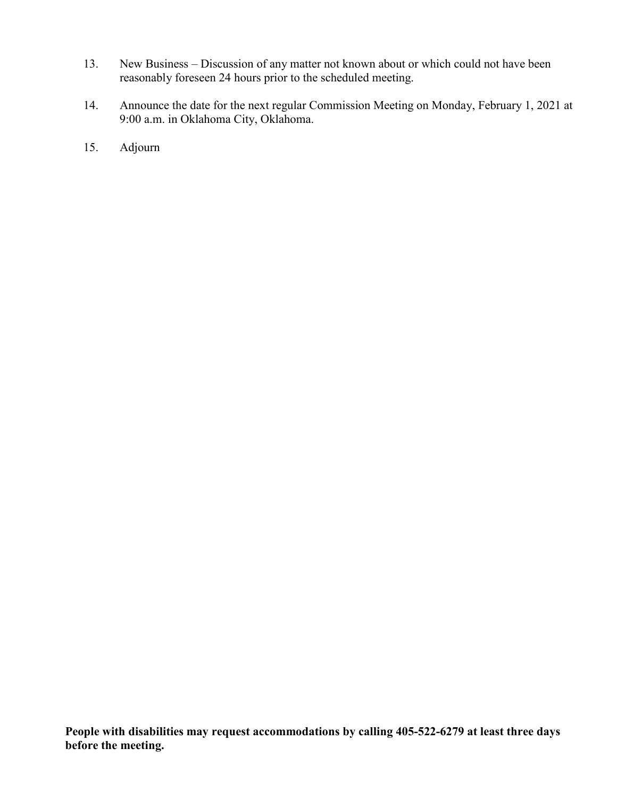- 13. New Business Discussion of any matter not known about or which could not have been reasonably foreseen 24 hours prior to the scheduled meeting.
- 14. Announce the date for the next regular Commission Meeting on Monday, February 1, 2021 at 9:00 a.m. in Oklahoma City, Oklahoma.
- 15. Adjourn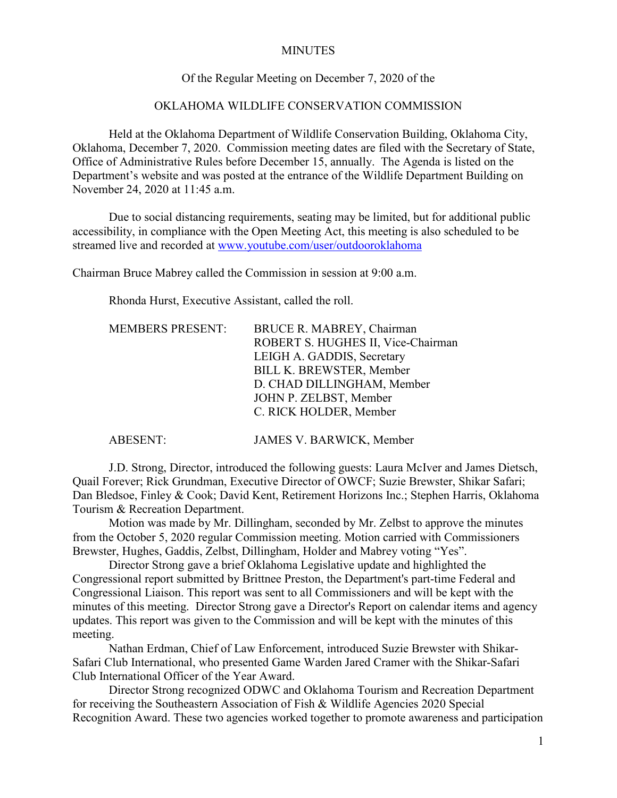### MINUTES

# Of the Regular Meeting on December 7, 2020 of the

# OKLAHOMA WILDLIFE CONSERVATION COMMISSION

Held at the Oklahoma Department of Wildlife Conservation Building, Oklahoma City, Oklahoma, December 7, 2020. Commission meeting dates are filed with the Secretary of State, Office of Administrative Rules before December 15, annually. The Agenda is listed on the Department's website and was posted at the entrance of the Wildlife Department Building on November 24, 2020 at 11:45 a.m.

Due to social distancing requirements, seating may be limited, but for additional public accessibility, in compliance with the Open Meeting Act, this meeting is also scheduled to be streamed live and recorded at [www.youtube.com/user/outdooroklahoma](http://www.youtube.com/user/outdooroklahoma)

Chairman Bruce Mabrey called the Commission in session at 9:00 a.m.

Rhonda Hurst, Executive Assistant, called the roll.

| <b>MEMBERS PRESENT:</b> | BRUCE R. MABREY, Chairman          |
|-------------------------|------------------------------------|
|                         | ROBERT S. HUGHES II, Vice-Chairman |
|                         | LEIGH A. GADDIS, Secretary         |
|                         | BILL K. BREWSTER, Member           |
|                         | D. CHAD DILLINGHAM, Member         |
|                         | JOHN P. ZELBST, Member             |
|                         | C. RICK HOLDER, Member             |
|                         |                                    |

ABESENT: JAMES V. BARWICK, Member

J.D. Strong, Director, introduced the following guests: Laura McIver and James Dietsch, Quail Forever; Rick Grundman, Executive Director of OWCF; Suzie Brewster, Shikar Safari; Dan Bledsoe, Finley & Cook; David Kent, Retirement Horizons Inc.; Stephen Harris, Oklahoma Tourism & Recreation Department.

Motion was made by Mr. Dillingham, seconded by Mr. Zelbst to approve the minutes from the October 5, 2020 regular Commission meeting. Motion carried with Commissioners Brewster, Hughes, Gaddis, Zelbst, Dillingham, Holder and Mabrey voting "Yes".

Director Strong gave a brief Oklahoma Legislative update and highlighted the Congressional report submitted by Brittnee Preston, the Department's part-time Federal and Congressional Liaison. This report was sent to all Commissioners and will be kept with the minutes of this meeting. Director Strong gave a Director's Report on calendar items and agency updates. This report was given to the Commission and will be kept with the minutes of this meeting.

Nathan Erdman, Chief of Law Enforcement, introduced Suzie Brewster with Shikar-Safari Club International, who presented Game Warden Jared Cramer with the Shikar-Safari Club International Officer of the Year Award.

Director Strong recognized ODWC and Oklahoma Tourism and Recreation Department for receiving the Southeastern Association of Fish & Wildlife Agencies 2020 Special Recognition Award. These two agencies worked together to promote awareness and participation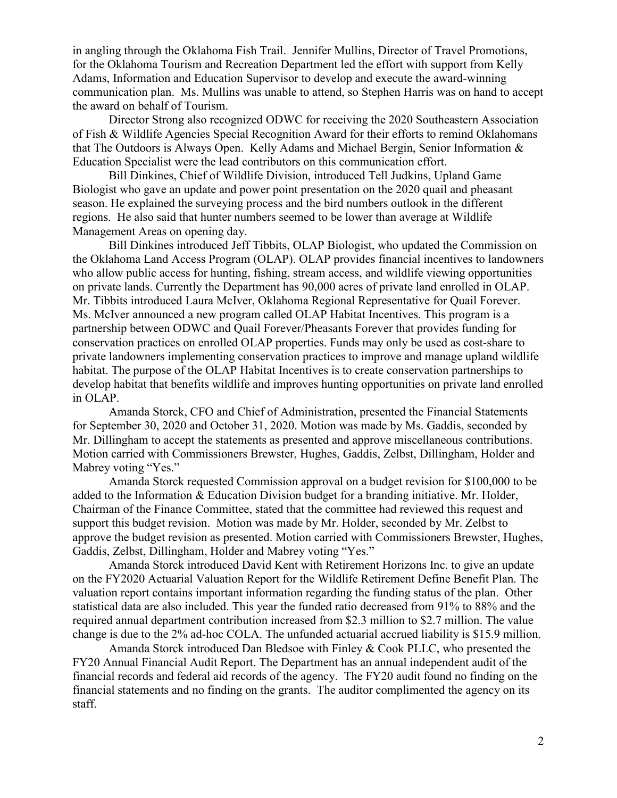in angling through the Oklahoma Fish Trail. Jennifer Mullins, Director of Travel Promotions, for the Oklahoma Tourism and Recreation Department led the effort with support from Kelly Adams, Information and Education Supervisor to develop and execute the award-winning communication plan. Ms. Mullins was unable to attend, so Stephen Harris was on hand to accept the award on behalf of Tourism.

Director Strong also recognized ODWC for receiving the 2020 Southeastern Association of Fish & Wildlife Agencies Special Recognition Award for their efforts to remind Oklahomans that The Outdoors is Always Open. Kelly Adams and Michael Bergin, Senior Information & Education Specialist were the lead contributors on this communication effort.

Bill Dinkines, Chief of Wildlife Division, introduced Tell Judkins, Upland Game Biologist who gave an update and power point presentation on the 2020 quail and pheasant season. He explained the surveying process and the bird numbers outlook in the different regions. He also said that hunter numbers seemed to be lower than average at Wildlife Management Areas on opening day.

Bill Dinkines introduced Jeff Tibbits, OLAP Biologist, who updated the Commission on the Oklahoma Land Access Program (OLAP). OLAP provides financial incentives to landowners who allow public access for hunting, fishing, stream access, and wildlife viewing opportunities on private lands. Currently the Department has 90,000 acres of private land enrolled in OLAP. Mr. Tibbits introduced Laura McIver, Oklahoma Regional Representative for Quail Forever. Ms. McIver announced a new program called OLAP Habitat Incentives. This program is a partnership between ODWC and Quail Forever/Pheasants Forever that provides funding for conservation practices on enrolled OLAP properties. Funds may only be used as cost-share to private landowners implementing conservation practices to improve and manage upland wildlife habitat. The purpose of the OLAP Habitat Incentives is to create conservation partnerships to develop habitat that benefits wildlife and improves hunting opportunities on private land enrolled in OLAP.

Amanda Storck, CFO and Chief of Administration, presented the Financial Statements for September 30, 2020 and October 31, 2020. Motion was made by Ms. Gaddis, seconded by Mr. Dillingham to accept the statements as presented and approve miscellaneous contributions. Motion carried with Commissioners Brewster, Hughes, Gaddis, Zelbst, Dillingham, Holder and Mabrey voting "Yes."

Amanda Storck requested Commission approval on a budget revision for \$100,000 to be added to the Information & Education Division budget for a branding initiative. Mr. Holder, Chairman of the Finance Committee, stated that the committee had reviewed this request and support this budget revision. Motion was made by Mr. Holder, seconded by Mr. Zelbst to approve the budget revision as presented. Motion carried with Commissioners Brewster, Hughes, Gaddis, Zelbst, Dillingham, Holder and Mabrey voting "Yes."

Amanda Storck introduced David Kent with Retirement Horizons Inc. to give an update on the FY2020 Actuarial Valuation Report for the Wildlife Retirement Define Benefit Plan. The valuation report contains important information regarding the funding status of the plan. Other statistical data are also included. This year the funded ratio decreased from 91% to 88% and the required annual department contribution increased from \$2.3 million to \$2.7 million. The value change is due to the 2% ad-hoc COLA. The unfunded actuarial accrued liability is \$15.9 million.

Amanda Storck introduced Dan Bledsoe with Finley & Cook PLLC, who presented the FY20 Annual Financial Audit Report. The Department has an annual independent audit of the financial records and federal aid records of the agency. The FY20 audit found no finding on the financial statements and no finding on the grants. The auditor complimented the agency on its staff.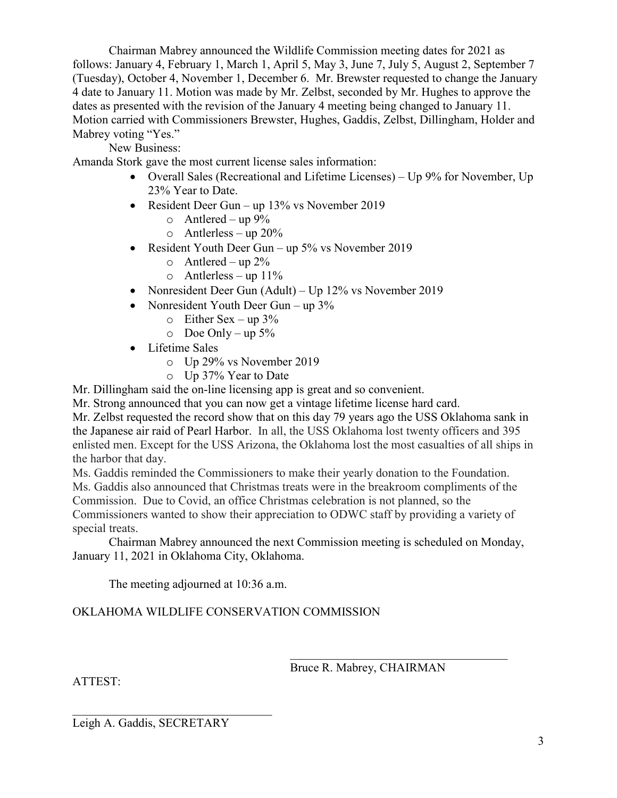Chairman Mabrey announced the Wildlife Commission meeting dates for 2021 as follows: January 4, February 1, March 1, April 5, May 3, June 7, July 5, August 2, September 7 (Tuesday), October 4, November 1, December 6. Mr. Brewster requested to change the January 4 date to January 11. Motion was made by Mr. Zelbst, seconded by Mr. Hughes to approve the dates as presented with the revision of the January 4 meeting being changed to January 11. Motion carried with Commissioners Brewster, Hughes, Gaddis, Zelbst, Dillingham, Holder and Mabrey voting "Yes."

New Business:

Amanda Stork gave the most current license sales information:

- Overall Sales (Recreational and Lifetime Licenses) Up 9% for November, Up 23% Year to Date.
- Resident Deer Gun up 13% vs November 2019
	- $\circ$  Antlered up 9%
	- o Antlerless up 20%
- Resident Youth Deer Gun up 5% vs November 2019
	- $\circ$  Antlered up 2%
	- $\circ$  Antlerless up 11%
- Nonresident Deer Gun (Adult) Up 12% vs November 2019
- Nonresident Youth Deer Gun up 3%
	- $\circ$  Either Sex up 3%
	- $\circ$  Doe Only up 5%
- Lifetime Sales
	- o Up 29% vs November 2019
	- o Up 37% Year to Date

Mr. Dillingham said the on-line licensing app is great and so convenient.

Mr. Strong announced that you can now get a vintage lifetime license hard card.

Mr. Zelbst requested the record show that on this day 79 years ago the USS Oklahoma sank in the Japanese air raid of Pearl Harbor. In all, the USS Oklahoma lost twenty officers and 395 enlisted men. Except for the USS Arizona, the Oklahoma lost the most casualties of all ships in the harbor that day.

Ms. Gaddis reminded the Commissioners to make their yearly donation to the Foundation. Ms. Gaddis also announced that Christmas treats were in the breakroom compliments of the Commission. Due to Covid, an office Christmas celebration is not planned, so the Commissioners wanted to show their appreciation to ODWC staff by providing a variety of special treats.

Chairman Mabrey announced the next Commission meeting is scheduled on Monday, January 11, 2021 in Oklahoma City, Oklahoma.

The meeting adjourned at 10:36 a.m.

# OKLAHOMA WILDLIFE CONSERVATION COMMISSION

Bruce R. Mabrey, CHAIRMAN

 $\mathcal{L}_\mathcal{L}$  , which is a set of the set of the set of the set of the set of the set of the set of the set of the set of the set of the set of the set of the set of the set of the set of the set of the set of the set of

ATTEST:

Leigh A. Gaddis, SECRETARY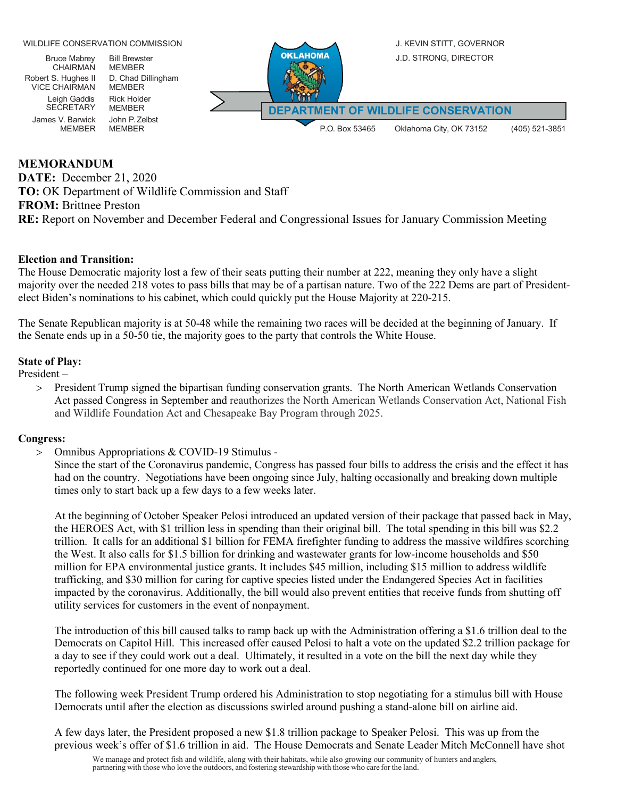

# **MEMORANDUM**

**DATE:** December 21, 2020 **TO:** OK Department of Wildlife Commission and Staff **FROM:** Brittnee Preston **RE:** Report on November and December Federal and Congressional Issues for January Commission Meeting

### **Election and Transition:**

The House Democratic majority lost a few of their seats putting their number at 222, meaning they only have a slight majority over the needed 218 votes to pass bills that may be of a partisan nature. Two of the 222 Dems are part of Presidentelect Biden's nominations to his cabinet, which could quickly put the House Majority at 220-215.

The Senate Republican majority is at 50-48 while the remaining two races will be decided at the beginning of January. If the Senate ends up in a 50-50 tie, the majority goes to the party that controls the White House.

### **State of Play:**

President –

> President Trump signed the bipartisan funding conservation grants. The North American Wetlands Conservation Act passed Congress in September and reauthorizes the North American Wetlands Conservation Act, National Fish and Wildlife Foundation Act and Chesapeake Bay Program through 2025.

### **Congress:**

> Omnibus Appropriations & COVID-19 Stimulus -

Since the start of the Coronavirus pandemic, Congress has passed four bills to address the crisis and the effect it has had on the country. Negotiations have been ongoing since July, halting occasionally and breaking down multiple times only to start back up a few days to a few weeks later.

At the beginning of October Speaker Pelosi introduced an updated version of their package that passed back in May, the HEROES Act, with \$1 trillion less in spending than their original bill. The total spending in this bill was \$2.2 trillion. It calls for an additional \$1 billion for FEMA firefighter funding to address the massive wildfires scorching the West. It also calls for \$1.5 billion for drinking and wastewater grants for low-income households and \$50 million for EPA environmental justice grants. It includes \$45 million, including \$15 million to address wildlife trafficking, and \$30 million for caring for captive species listed under the Endangered Species Act in facilities impacted by the coronavirus. Additionally, the bill would also prevent entities that receive funds from shutting off utility services for customers in the event of nonpayment.

The introduction of this bill caused talks to ramp back up with the Administration offering a \$1.6 trillion deal to the Democrats on Capitol Hill. This increased offer caused Pelosi to halt a vote on the updated \$2.2 trillion package for a day to see if they could work out a deal. Ultimately, it resulted in a vote on the bill the next day while they reportedly continued for one more day to work out a deal.

The following week President Trump ordered his Administration to stop negotiating for a stimulus bill with House Democrats until after the election as discussions swirled around pushing a stand-alone bill on airline aid.

A few days later, the President proposed a new \$1.8 trillion package to Speaker Pelosi. This was up from the previous week's offer of \$1.6 trillion in aid. The House Democrats and Senate Leader Mitch McConnell have shot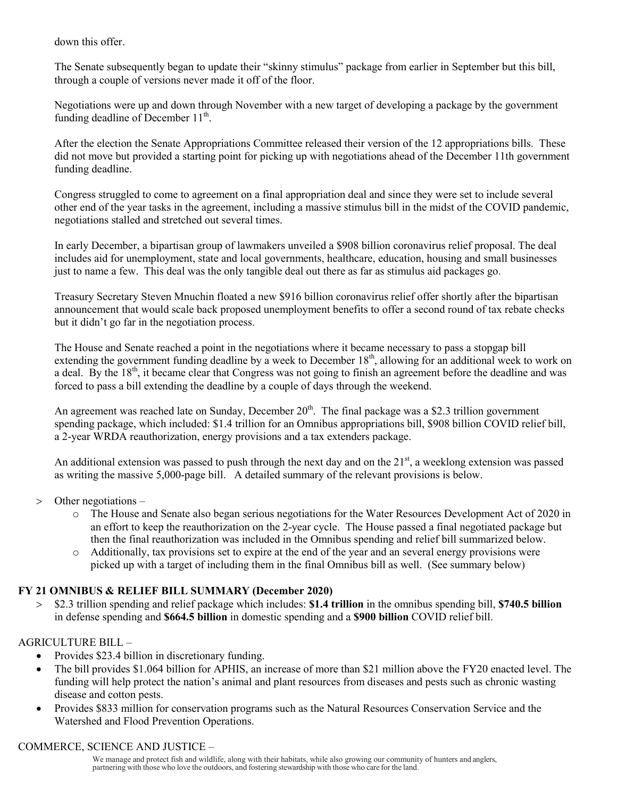down this offer.

The Senate subsequently began to update their "skinny stimulus" package from earlier in September but this bill, through a couple of versions never made it off of the floor.

Negotiations were up and down through November with a new target of developing a package by the government funding deadline of December  $11<sup>th</sup>$ .

After the election the Senate Appropriations Committee released their version of the 12 appropriations bills. These did not move but provided a starting point for picking up with negotiations ahead of the December 11th government funding deadline.

Congress struggled to come to agreement on a final appropriation deal and since they were set to include several other end of the year tasks in the agreement, including a massive stimulus bill in the midst of the COVID pandemic, negotiations stalled and stretched out several times.

In early December, a bipartisan group of lawmakers unveiled a \$908 billion coronavirus relief proposal. The deal includes aid for unemployment, state and local governments, healthcare, education, housing and small businesses just to name a few. This deal was the only tangible deal out there as far as stimulus aid packages go.

Treasury Secretary Steven Mnuchin floated a new \$916 billion coronavirus relief offer shortly after the bipartisan announcement that would scale back proposed unemployment benefits to offer a second round of tax rebate checks but it didn't go far in the negotiation process.

The House and Senate reached a point in the negotiations where it became necessary to pass a stopgap bill extending the government funding deadline by a week to December 18<sup>th</sup>, allowing for an additional week to work on a deal. By the  $18<sup>th</sup>$ , it became clear that Congress was not going to finish an agreement before the deadline and was forced to pass a bill extending the deadline by a couple of days through the weekend.

An agreement was reached late on Sunday, December  $20<sup>th</sup>$ . The final package was a \$2.3 trillion government spending package, which included: \$1.4 trillion for an Omnibus appropriations bill, \$908 billion COVID relief bill, a 2-year WRDA reauthorization, energy provisions and a tax extenders package.

An additional extension was passed to push through the next day and on the  $21<sup>st</sup>$ , a weeklong extension was passed as writing the massive 5,000-page bill. A detailed summary of the relevant provisions is below.

- > Other negotiations
	- o The House and Senate also began serious negotiations for the Water Resources Development Act of 2020 in an effort to keep the reauthorization on the 2-year cycle. The House passed a final negotiated package but then the final reauthorization was included in the Omnibus spending and relief bill summarized below.
	- Additionally, tax provisions set to expire at the end of the year and an several energy provisions were picked up with a target of including them in the final Omnibus bill as well. (See summary below)

# **FY 21 OMNIBUS & RELIEF BILL SUMMARY (December 2020)**

> \$2.3 trillion spending and relief package which includes: **\$1.4 trillion** in the omnibus spending bill, **\$740.5 billion** in defense spending and **\$664.5 billion** in domestic spending and a **\$900 billion** COVID relief bill.

# AGRICULTURE BILL –

- Provides \$23.4 billion in discretionary funding.
- The bill provides \$1.064 billion for APHIS, an increase of more than \$21 million above the FY20 enacted level. The funding will help protect the nation's animal and plant resources from diseases and pests such as chronic wasting disease and cotton pests.
- Provides \$833 million for conservation programs such as the Natural Resources Conservation Service and the Watershed and Flood Prevention Operations.

### COMMERCE, SCIENCE AND JUSTICE –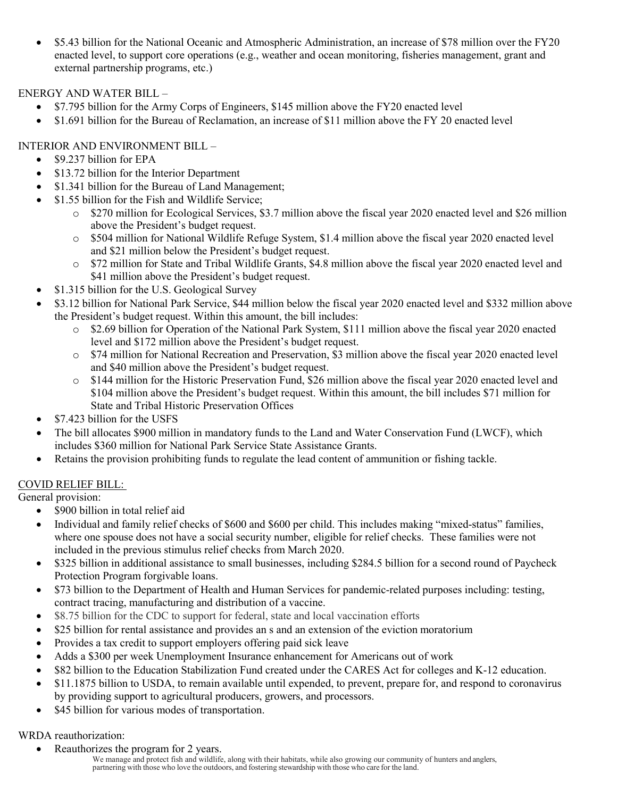• \$5.43 billion for the National Oceanic and Atmospheric Administration, an increase of \$78 million over the FY20 enacted level, to support core operations (e.g., weather and ocean monitoring, fisheries management, grant and external partnership programs, etc.)

ENERGY AND WATER BILL –

- \$7.795 billion for the Army Corps of Engineers, \$145 million above the FY20 enacted level
- \$1.691 billion for the Bureau of Reclamation, an increase of \$11 million above the FY 20 enacted level

# INTERIOR AND ENVIRONMENT BILL –

- \$9.237 billion for EPA
- \$13.72 billion for the Interior Department
- \$1.341 billion for the Bureau of Land Management;
- \$1.55 billion for the Fish and Wildlife Service;
	- o \$270 million for Ecological Services, \$3.7 million above the fiscal year 2020 enacted level and \$26 million above the President's budget request.
	- o \$504 million for National Wildlife Refuge System, \$1.4 million above the fiscal year 2020 enacted level and \$21 million below the President's budget request.
	- o \$72 million for State and Tribal Wildlife Grants, \$4.8 million above the fiscal year 2020 enacted level and \$41 million above the President's budget request.
- \$1.315 billion for the U.S. Geological Survey
- \$3.12 billion for National Park Service, \$44 million below the fiscal year 2020 enacted level and \$332 million above the President's budget request. Within this amount, the bill includes:
	- o \$2.69 billion for Operation of the National Park System, \$111 million above the fiscal year 2020 enacted level and \$172 million above the President's budget request.
	- o \$74 million for National Recreation and Preservation, \$3 million above the fiscal year 2020 enacted level and \$40 million above the President's budget request.
	- o \$144 million for the Historic Preservation Fund, \$26 million above the fiscal year 2020 enacted level and \$104 million above the President's budget request. Within this amount, the bill includes \$71 million for State and Tribal Historic Preservation Offices
- \$7.423 billion for the USFS
- The bill allocates \$900 million in mandatory funds to the Land and Water Conservation Fund (LWCF), which includes \$360 million for National Park Service State Assistance Grants.
- Retains the provision prohibiting funds to regulate the lead content of ammunition or fishing tackle.

# COVID RELIEF BILL:

General provision:

- \$900 billion in total relief aid
- Individual and family relief checks of \$600 and \$600 per child. This includes making "mixed-status" families, where one spouse does not have a social security number, eligible for relief checks. These families were not included in the previous stimulus relief checks from March 2020.
- \$325 billion in additional assistance to small businesses, including \$284.5 billion for a second round of Paycheck Protection Program forgivable loans.
- \$73 billion to the Department of Health and Human Services for pandemic-related purposes including: testing, contract tracing, manufacturing and distribution of a vaccine.
- \$8.75 billion for the CDC to support for federal, state and local vaccination efforts
- \$25 billion for rental assistance and provides an s and an extension of the eviction moratorium
- Provides a tax credit to support employers offering paid sick leave
- Adds a \$300 per week Unemployment Insurance enhancement for Americans out of work
- \$82 billion to the Education Stabilization Fund created under the CARES Act for colleges and K-12 education.
- \$11.1875 billion to USDA, to remain available until expended, to prevent, prepare for, and respond to coronavirus by providing support to agricultural producers, growers, and processors.
- \$45 billion for various modes of transportation.

# WRDA reauthorization:

• Reauthorizes the program for 2 years.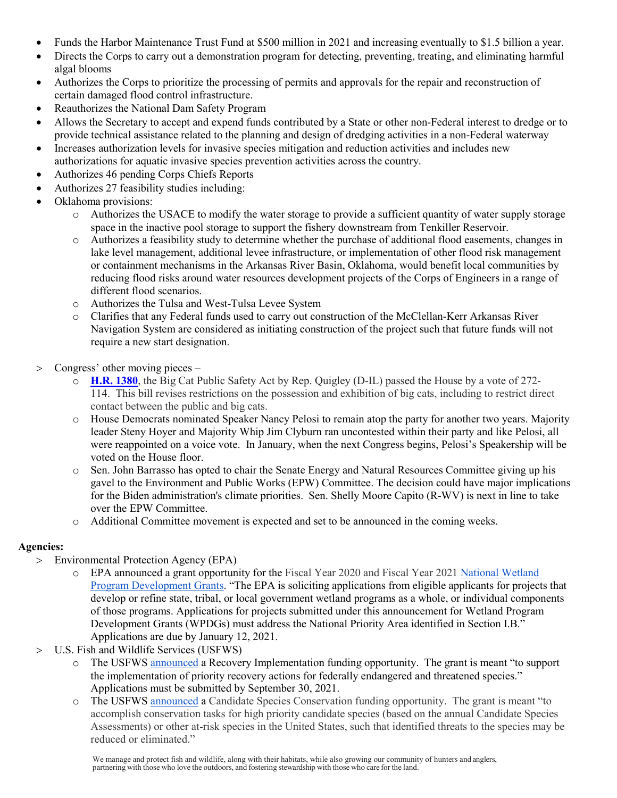- Funds the Harbor Maintenance Trust Fund at \$500 million in 2021 and increasing eventually to \$1.5 billion a year.
- Directs the Corps to carry out a demonstration program for detecting, preventing, treating, and eliminating harmful algal blooms
- Authorizes the Corps to prioritize the processing of permits and approvals for the repair and reconstruction of certain damaged flood control infrastructure.
- Reauthorizes the National Dam Safety Program
- Allows the Secretary to accept and expend funds contributed by a State or other non-Federal interest to dredge or to provide technical assistance related to the planning and design of dredging activities in a non-Federal waterway
- Increases authorization levels for invasive species mitigation and reduction activities and includes new authorizations for aquatic invasive species prevention activities across the country.
- Authorizes 46 pending Corps Chiefs Reports
- Authorizes 27 feasibility studies including:
- Oklahoma provisions:
	- o Authorizes the USACE to modify the water storage to provide a sufficient quantity of water supply storage space in the inactive pool storage to support the fishery downstream from Tenkiller Reservoir.
	- o Authorizes a feasibility study to determine whether the purchase of additional flood easements, changes in lake level management, additional levee infrastructure, or implementation of other flood risk management or containment mechanisms in the Arkansas River Basin, Oklahoma, would benefit local communities by reducing flood risks around water resources development projects of the Corps of Engineers in a range of different flood scenarios.
	- o Authorizes the Tulsa and West-Tulsa Levee System
	- o Clarifies that any Federal funds used to carry out construction of the McClellan-Kerr Arkansas River Navigation System are considered as initiating construction of the project such that future funds will not require a new start designation.
- > Congress' other moving pieces
	- o **[H.R. 1380](https://majorityleader.us9.list-manage.com/track/click?u=f5af264d7bacb33cab2f3e314&id=92f6dc9623&e=b6e72f434d)**, the Big Cat Public Safety Act by Rep. Quigley (D-IL) passed the House by a vote of 272- 114. This bill revises restrictions on the possession and exhibition of big cats, including to restrict direct contact between the public and big cats.
	- o House Democrats nominated Speaker Nancy Pelosi to remain atop the party for another two years. Majority leader Steny Hoyer and Majority Whip Jim Clyburn ran uncontested within their party and like Pelosi, all were reappointed on a voice vote. In January, when the next Congress begins, Pelosi's Speakership will be voted on the House floor.
	- o Sen. John Barrasso has opted to chair the Senate Energy and Natural Resources Committee giving up his gavel to the Environment and Public Works (EPW) Committee. The decision could have major implications for the Biden administration's climate priorities. Sen. Shelly Moore Capito (R-WV) is next in line to take over the EPW Committee.
	- o Additional Committee movement is expected and set to be announced in the coming weeks.

# **Agencies:**

- > Environmental Protection Agency (EPA)
	- o EPA announced a grant opportunity for the Fiscal Year 2020 and Fiscal Year 2021 [National Wetland](https://www.grants.gov/web/grants/view-opportunity.html?oppId=329641)  [Program Development Grants.](https://www.grants.gov/web/grants/view-opportunity.html?oppId=329641) "The EPA is soliciting applications from eligible applicants for projects that develop or refine state, tribal, or local government wetland programs as a whole, or individual components of those programs. Applications for projects submitted under this announcement for Wetland Program Development Grants (WPDGs) must address the National Priority Area identified in Section I.B." Applications are due by January 12, 2021.
- > U.S. Fish and Wildlife Services (USFWS)
	- o The USFWS [announced](https://www.grants.gov/web/grants/view-opportunity.html?oppId=329584) a Recovery Implementation funding opportunity. The grant is meant "to support the implementation of priority recovery actions for federally endangered and threatened species." Applications must be submitted by September 30, 2021.
	- The USFWS [announced](https://www.grants.gov/web/grants/view-opportunity.html?oppId=329585) a Candidate Species Conservation funding opportunity. The grant is meant "to accomplish conservation tasks for high priority candidate species (based on the annual Candidate Species Assessments) or other at-risk species in the United States, such that identified threats to the species may be reduced or eliminated."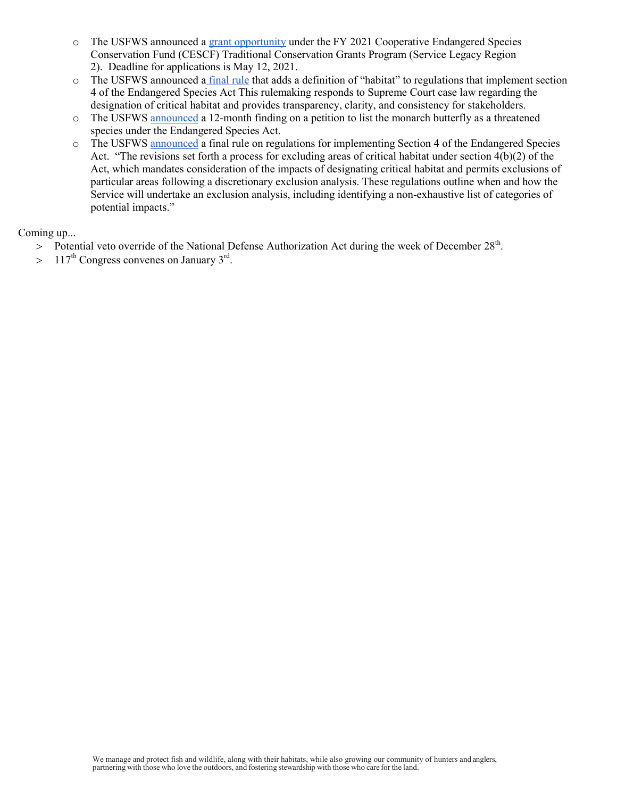- o The USFWS announced a [grant opportunity](https://www.grants.gov/web/grants/view-opportunity.html?oppId=329779) under the FY 2021 Cooperative Endangered Species Conservation Fund (CESCF) Traditional Conservation Grants Program (Service Legacy Region 2). Deadline for applications is May 12, 2021.
- o The USFWS announced a [final rule](https://www.federalregister.gov/documents/2020/12/16/2020-27693/endangered-and-threatened-wildlife-and-plants-regulations-for-listing-endangered-and-threatened?utm_campaign=subscription+mailing+list&utm_source=federalregister.gov&utm_medium=email) that adds a definition of "habitat" to regulations that implement section 4 of the Endangered Species Act This rulemaking responds to Supreme Court case law regarding the designation of critical habitat and provides transparency, clarity, and consistency for stakeholders.
- o The USFWS [announced](https://www.federalregister.gov/documents/2020/12/17/2020-27523/endangered-and-threatened-wildlife-and-plants-12-month-finding-for-the-monarch-butterfly?utm_campaign=subscription%20mailing%20list&utm_source=federalregister.gov&utm_medium=email) a 12-month finding on a petition to list the monarch butterfly as a threatened species under the Endangered Species Act.
- o The USFWS [announced](https://www.federalregister.gov/documents/2020/12/18/2020-28033/endangered-and-threatened-wildlife-and-plants-regulations-for-designating-critical-habitat?utm_campaign=subscription+mailing+list&utm_source=federalregister.gov&utm_medium=email) a final rule on regulations for implementing Section 4 of the Endangered Species Act. "The revisions set forth a process for excluding areas of critical habitat under section 4(b)(2) of the Act, which mandates consideration of the impacts of designating critical habitat and permits exclusions of particular areas following a discretionary exclusion analysis. These regulations outline when and how the Service will undertake an exclusion analysis, including identifying a non-exhaustive list of categories of potential impacts."

### Coming up...

- $>$  Potential veto override of the National Defense Authorization Act during the week of December 28<sup>th</sup>.
- $> 117<sup>th</sup>$  Congress convenes on January 3<sup>rd</sup>.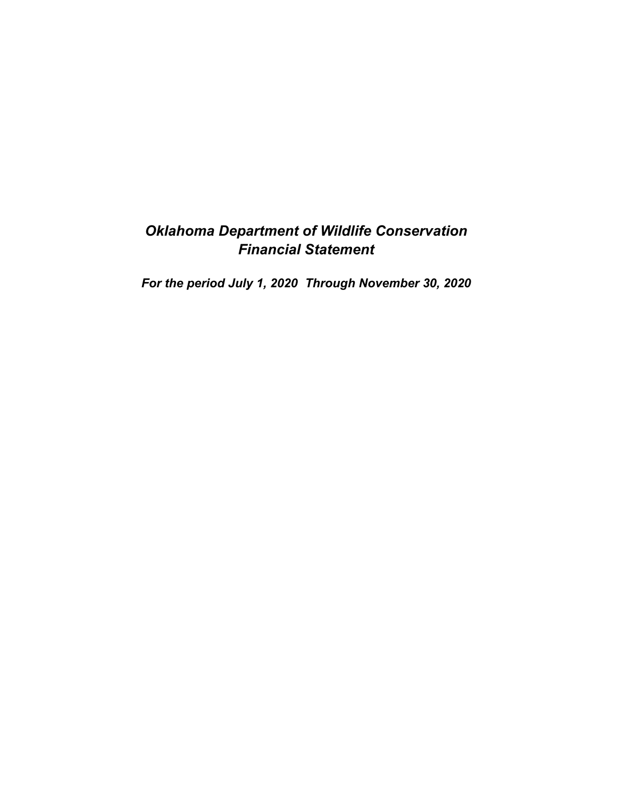# *Oklahoma Department of Wildlife Conservation Financial Statement*

*For the period July 1, 2020 Through November 30, 2020*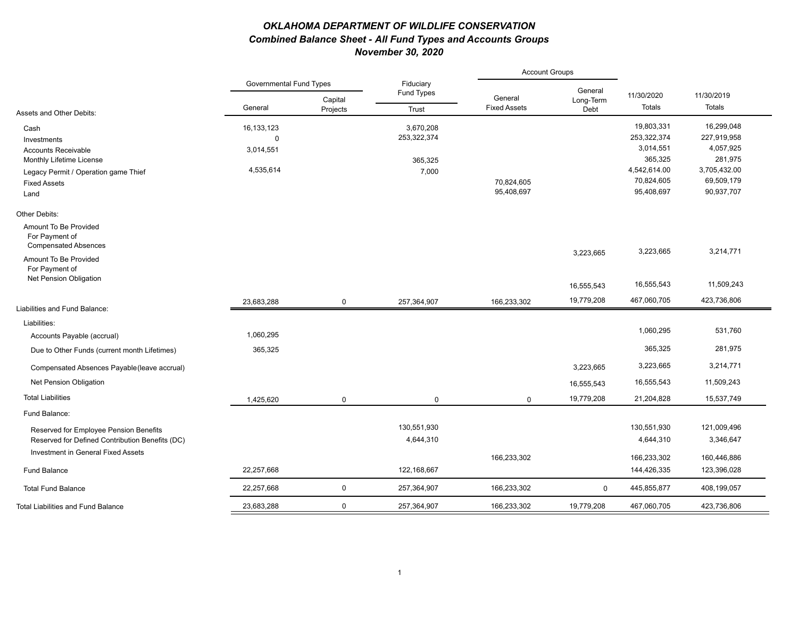# *OKLAHOMA DEPARTMENT OF WILDLIFE CONSERVATION Combined Balance Sheet - All Fund Types and Accounts Groups November 30, 2020*

|                                                                        |                                |                     |                          | <b>Account Groups</b>          |                   |               |              |
|------------------------------------------------------------------------|--------------------------------|---------------------|--------------------------|--------------------------------|-------------------|---------------|--------------|
|                                                                        | <b>Governmental Fund Types</b> |                     | Fiduciary<br>Fund Types  |                                | General           | 11/30/2020    | 11/30/2019   |
| Assets and Other Debits:                                               | General                        | Capital<br>Projects | Trust                    | General<br><b>Fixed Assets</b> | Long-Term<br>Debt | <b>Totals</b> | Totals       |
|                                                                        |                                |                     |                          |                                |                   | 19,803,331    | 16,299,048   |
| Cash<br>Investments                                                    | 16,133,123<br>$\Omega$         |                     | 3,670,208<br>253,322,374 |                                |                   | 253,322,374   | 227,919,958  |
| <b>Accounts Receivable</b>                                             | 3,014,551                      |                     |                          |                                |                   | 3,014,551     | 4,057,925    |
| Monthly Lifetime License                                               |                                |                     | 365,325                  |                                |                   | 365,325       | 281,975      |
| Legacy Permit / Operation game Thief                                   | 4,535,614                      |                     | 7,000                    |                                |                   | 4,542,614.00  | 3,705,432.00 |
| <b>Fixed Assets</b>                                                    |                                |                     |                          | 70,824,605                     |                   | 70,824,605    | 69,509,179   |
| Land                                                                   |                                |                     |                          | 95,408,697                     |                   | 95,408,697    | 90,937,707   |
| Other Debits:                                                          |                                |                     |                          |                                |                   |               |              |
| Amount To Be Provided<br>For Payment of<br><b>Compensated Absences</b> |                                |                     |                          |                                |                   |               |              |
| Amount To Be Provided<br>For Payment of                                |                                |                     |                          |                                | 3,223,665         | 3,223,665     | 3,214,771    |
| Net Pension Obligation                                                 |                                |                     |                          |                                | 16,555,543        | 16,555,543    | 11,509,243   |
| Liabilities and Fund Balance:                                          | 23.683.288                     | $\mathbf 0$         | 257.364.907              | 166.233.302                    | 19,779,208        | 467,060,705   | 423,736,806  |
|                                                                        |                                |                     |                          |                                |                   |               |              |
| Liabilities:                                                           |                                |                     |                          |                                |                   | 1,060,295     | 531,760      |
| Accounts Payable (accrual)                                             | 1,060,295                      |                     |                          |                                |                   |               |              |
| Due to Other Funds (current month Lifetimes)                           | 365,325                        |                     |                          |                                |                   | 365,325       | 281,975      |
| Compensated Absences Payable (leave accrual)                           |                                |                     |                          |                                | 3,223,665         | 3,223,665     | 3,214,771    |
| Net Pension Obligation                                                 |                                |                     |                          |                                | 16,555,543        | 16,555,543    | 11,509,243   |
| <b>Total Liabilities</b>                                               | 1,425,620                      | $\mathbf 0$         | $\mathbf 0$              | $\Omega$                       | 19,779,208        | 21,204,828    | 15,537,749   |
| Fund Balance:                                                          |                                |                     |                          |                                |                   |               |              |
| Reserved for Employee Pension Benefits                                 |                                |                     | 130,551,930              |                                |                   | 130,551,930   | 121,009,496  |
| Reserved for Defined Contribution Benefits (DC)                        |                                |                     | 4,644,310                |                                |                   | 4,644,310     | 3,346,647    |
| Investment in General Fixed Assets                                     |                                |                     |                          | 166,233,302                    |                   | 166,233,302   | 160,446,886  |
| <b>Fund Balance</b>                                                    | 22,257,668                     |                     | 122,168,667              |                                |                   | 144,426,335   | 123,396,028  |
| <b>Total Fund Balance</b>                                              | 22,257,668                     | $\mathbf 0$         | 257,364,907              | 166,233,302                    | $\Omega$          | 445,855,877   | 408,199,057  |
| <b>Total Liabilities and Fund Balance</b>                              | 23,683,288                     | $\mathbf 0$         | 257,364,907              | 166,233,302                    | 19,779,208        | 467,060,705   | 423,736,806  |
|                                                                        |                                |                     |                          |                                |                   |               |              |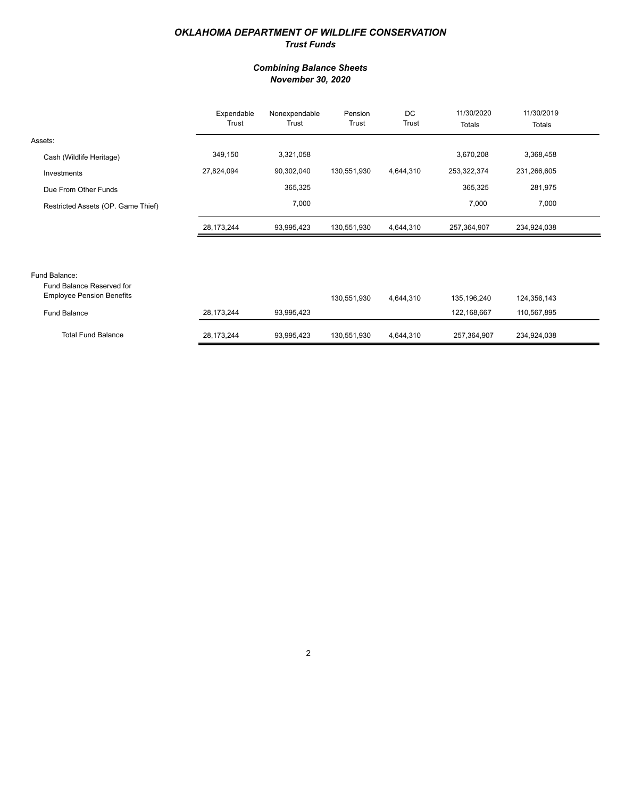### *OKLAHOMA DEPARTMENT OF WILDLIFE CONSERVATION Trust Funds*

### *Combining Balance Sheets November 30, 2020*

|                                                               | Expendable<br>Trust | Nonexpendable<br>Trust | Pension<br>Trust | DC<br>Trust | 11/30/2020<br>Totals | 11/30/2019<br>Totals |  |
|---------------------------------------------------------------|---------------------|------------------------|------------------|-------------|----------------------|----------------------|--|
| Assets:                                                       |                     |                        |                  |             |                      |                      |  |
| Cash (Wildlife Heritage)                                      | 349,150             | 3,321,058              |                  |             | 3,670,208            | 3,368,458            |  |
| Investments                                                   | 27,824,094          | 90,302,040             | 130,551,930      | 4,644,310   | 253,322,374          | 231,266,605          |  |
| Due From Other Funds                                          |                     | 365,325                |                  |             | 365,325              | 281,975              |  |
| Restricted Assets (OP. Game Thief)                            |                     | 7,000                  |                  |             | 7,000                | 7,000                |  |
|                                                               | 28,173,244          | 93,995,423             | 130,551,930      | 4,644,310   | 257,364,907          | 234,924,038          |  |
|                                                               |                     |                        |                  |             |                      |                      |  |
| Fund Balance:                                                 |                     |                        |                  |             |                      |                      |  |
| Fund Balance Reserved for<br><b>Employee Pension Benefits</b> |                     |                        | 130,551,930      | 4,644,310   | 135,196,240          | 124,356,143          |  |
| <b>Fund Balance</b>                                           | 28,173,244          | 93,995,423             |                  |             | 122,168,667          | 110,567,895          |  |

234,924,038

4,644,310 257,364,907

| <b>Total Fund Balance</b> | 173.244<br>28. | 93.995.423<br>$\sim$ $\sim$ | .930<br>130.551. | 4.644.310 | 257.364.907 | 234,9 |
|---------------------------|----------------|-----------------------------|------------------|-----------|-------------|-------|
|---------------------------|----------------|-----------------------------|------------------|-----------|-------------|-------|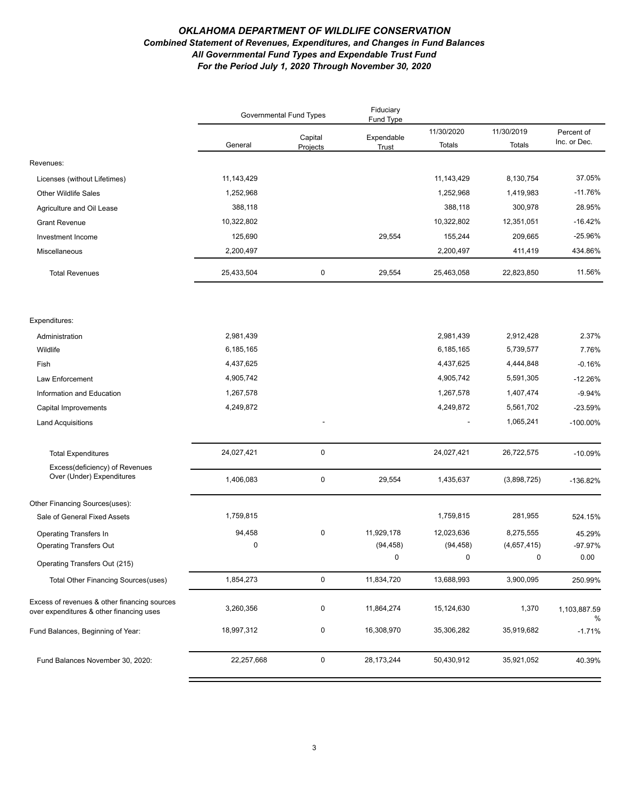### *OKLAHOMA DEPARTMENT OF WILDLIFE CONSERVATION Combined Statement of Revenues, Expenditures, and Changes in Fund Balances All Governmental Fund Types and Expendable Trust Fund For the Period July 1, 2020 Through November 30, 2020*

|                                                                                          | <b>Governmental Fund Types</b> |                     | Fiduciary<br>Fund Type |                      |                      |                            |
|------------------------------------------------------------------------------------------|--------------------------------|---------------------|------------------------|----------------------|----------------------|----------------------------|
|                                                                                          | General                        | Capital<br>Projects | Expendable<br>Trust    | 11/30/2020<br>Totals | 11/30/2019<br>Totals | Percent of<br>Inc. or Dec. |
| Revenues:                                                                                |                                |                     |                        |                      |                      |                            |
| Licenses (without Lifetimes)                                                             | 11, 143, 429                   |                     |                        | 11, 143, 429         | 8,130,754            | 37.05%                     |
| <b>Other Wildlife Sales</b>                                                              | 1,252,968                      |                     |                        | 1,252,968            | 1,419,983            | $-11.76%$                  |
| Agriculture and Oil Lease                                                                | 388,118                        |                     |                        | 388,118              | 300,978              | 28.95%                     |
| <b>Grant Revenue</b>                                                                     | 10,322,802                     |                     |                        | 10,322,802           | 12,351,051           | $-16.42%$                  |
| Investment Income                                                                        | 125,690                        |                     | 29,554                 | 155,244              | 209,665              | $-25.96%$                  |
| Miscellaneous                                                                            | 2,200,497                      |                     |                        | 2,200,497            | 411,419              | 434.86%                    |
| <b>Total Revenues</b>                                                                    | 25,433,504                     | $\pmb{0}$           | 29,554                 | 25,463,058           | 22,823,850           | 11.56%                     |
| Expenditures:                                                                            |                                |                     |                        |                      |                      |                            |
| Administration                                                                           | 2,981,439                      |                     |                        | 2,981,439            | 2,912,428            | 2.37%                      |
| Wildlife                                                                                 | 6,185,165                      |                     |                        | 6,185,165            | 5,739,577            | 7.76%                      |
| Fish                                                                                     | 4,437,625                      |                     |                        | 4,437,625            | 4,444,848            | $-0.16%$                   |
| Law Enforcement                                                                          | 4,905,742                      |                     |                        | 4,905,742            | 5,591,305            | $-12.26%$                  |
| Information and Education                                                                | 1,267,578                      |                     |                        | 1,267,578            | 1,407,474            | $-9.94%$                   |
| Capital Improvements                                                                     | 4,249,872                      |                     |                        | 4,249,872            | 5,561,702            | $-23.59%$                  |
| <b>Land Acquisitions</b>                                                                 |                                |                     |                        |                      | 1,065,241            | -100.00%                   |
|                                                                                          |                                |                     |                        |                      |                      |                            |
| <b>Total Expenditures</b>                                                                | 24,027,421                     | $\pmb{0}$           |                        | 24,027,421           | 26,722,575           | $-10.09%$                  |
| Excess(deficiency) of Revenues<br>Over (Under) Expenditures                              | 1,406,083                      | $\pmb{0}$           | 29,554                 | 1,435,637            | (3,898,725)          | -136.82%                   |
| Other Financing Sources(uses):                                                           |                                |                     |                        |                      |                      |                            |
| Sale of General Fixed Assets                                                             | 1,759,815                      |                     |                        | 1,759,815            | 281,955              | 524.15%                    |
| Operating Transfers In                                                                   | 94,458                         | $\pmb{0}$           | 11,929,178             | 12,023,636           | 8,275,555            | 45.29%                     |
| <b>Operating Transfers Out</b>                                                           | $\mathbf 0$                    |                     | (94, 458)              | (94, 458)            | (4,657,415)          | -97.97%                    |
| Operating Transfers Out (215)                                                            |                                |                     | $\Omega$               | $\mathbf 0$          | $\Omega$             | 0.00                       |
| Total Other Financing Sources (uses)                                                     | 1,854,273                      | $\mathbf 0$         | 11,834,720             | 13,688,993           | 3,900,095            | 250.99%                    |
| Excess of revenues & other financing sources<br>over expenditures & other financing uses | 3,260,356                      | 0                   | 11,864,274             | 15,124,630           | 1,370                | 1,103,887.59<br>%          |
| Fund Balances, Beginning of Year:                                                        | 18,997,312                     | 0                   | 16,308,970             | 35,306,282           | 35,919,682           | $-1.71%$                   |
| Fund Balances November 30, 2020:                                                         | 22,257,668                     | $\mathsf{O}$        | 28, 173, 244           | 50,430,912           | 35,921,052           | 40.39%                     |
|                                                                                          |                                |                     |                        |                      |                      |                            |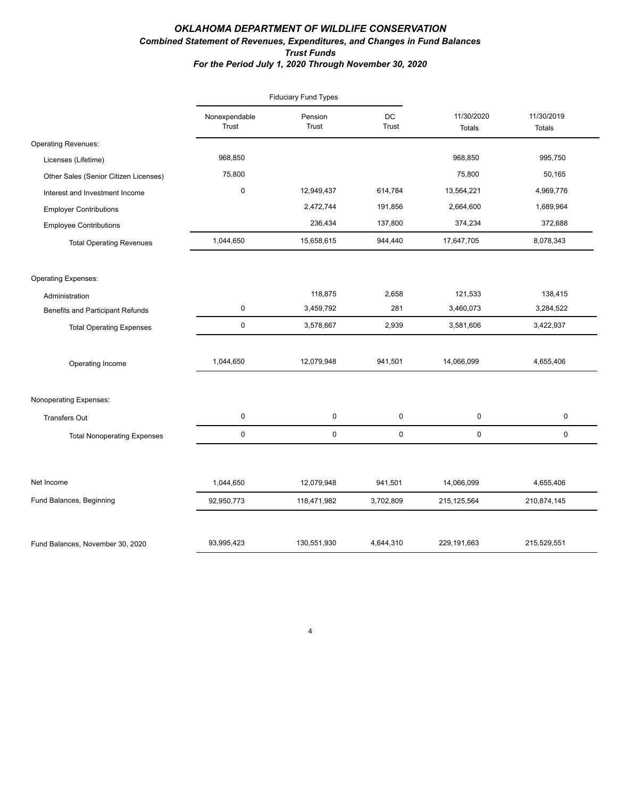### *OKLAHOMA DEPARTMENT OF WILDLIFE CONSERVATION Combined Statement of Revenues, Expenditures, and Changes in Fund Balances Trust Funds For the Period July 1, 2020 Through November 30, 2020*

|                                         |                        | <b>Fiduciary Fund Types</b> |                    |                             |                             |
|-----------------------------------------|------------------------|-----------------------------|--------------------|-----------------------------|-----------------------------|
|                                         | Nonexpendable<br>Trust | Pension<br>Trust            | DC<br><b>Trust</b> | 11/30/2020<br><b>Totals</b> | 11/30/2019<br><b>Totals</b> |
| <b>Operating Revenues:</b>              |                        |                             |                    |                             |                             |
| Licenses (Lifetime)                     | 968,850                |                             |                    | 968,850                     | 995,750                     |
| Other Sales (Senior Citizen Licenses)   | 75,800                 |                             |                    | 75,800                      | 50,165                      |
| Interest and Investment Income          | $\pmb{0}$              | 12,949,437                  | 614,784            | 13,564,221                  | 4,969,776                   |
| <b>Employer Contributions</b>           |                        | 2,472,744                   | 191,856            | 2,664,600                   | 1,689,964                   |
| <b>Employee Contributions</b>           |                        | 236,434                     | 137,800            | 374,234                     | 372,688                     |
| <b>Total Operating Revenues</b>         | 1,044,650              | 15,658,615                  | 944,440            | 17,647,705                  | 8,078,343                   |
| <b>Operating Expenses:</b>              |                        |                             |                    |                             |                             |
| Administration                          |                        | 118,875                     | 2,658              | 121,533                     | 138,415                     |
| <b>Benefits and Participant Refunds</b> | $\mathbf 0$            | 3,459,792                   | 281                | 3,460,073                   | 3,284,522                   |
| <b>Total Operating Expenses</b>         | $\mathbf 0$            | 3,578,667                   | 2,939              | 3,581,606                   | 3,422,937                   |
| Operating Income                        | 1,044,650              | 12,079,948                  | 941,501            | 14,066,099                  | 4,655,406                   |
| Nonoperating Expenses:                  |                        |                             |                    |                             |                             |
| <b>Transfers Out</b>                    | $\pmb{0}$              | 0                           | 0                  | $\pmb{0}$                   | 0                           |
| <b>Total Nonoperating Expenses</b>      | $\mathbf 0$            | $\mathsf 0$                 | 0                  | 0                           | 0                           |
| Net Income                              | 1,044,650              | 12,079,948                  | 941,501            | 14,066,099                  | 4,655,406                   |
| Fund Balances, Beginning                | 92,950,773             | 118,471,982                 | 3,702,809          | 215, 125, 564               | 210,874,145                 |
|                                         |                        |                             |                    |                             |                             |
| Fund Balances, November 30, 2020        | 93,995,423             | 130,551,930                 | 4,644,310          | 229,191,663                 | 215,529,551                 |

4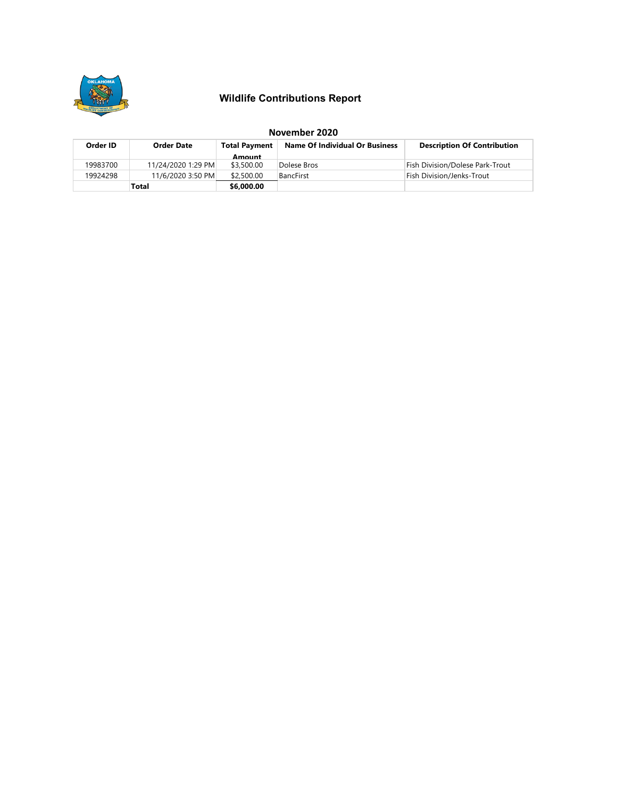

# **Wildlife Contributions Report**

|          | November 2020      |                      |                                       |                                    |  |  |  |  |
|----------|--------------------|----------------------|---------------------------------------|------------------------------------|--|--|--|--|
| Order ID | Order Date         | <b>Total Payment</b> | <b>Name Of Individual Or Business</b> | <b>Description Of Contribution</b> |  |  |  |  |
|          |                    | Amount               |                                       |                                    |  |  |  |  |
| 19983700 | 11/24/2020 1:29 PM | \$3,500.00           | Dolese Bros                           | Fish Division/Dolese Park-Trout    |  |  |  |  |
| 19924298 | 11/6/2020 3:50 PM  | \$2,500.00           | <b>BancFirst</b>                      | Fish Division/Jenks-Trout          |  |  |  |  |
|          | Total              | \$6,000.00           |                                       |                                    |  |  |  |  |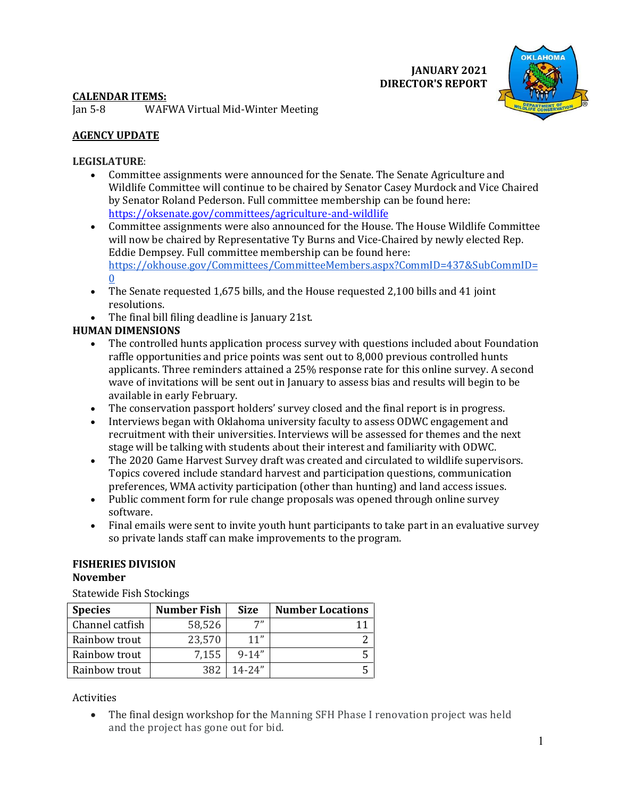**JANUARY 2021 DIRECTOR'S REPORT**



# **CALENDAR ITEMS:**

Jan 5-8 WAFWA Virtual Mid-Winter Meeting

# **AGENCY UPDATE**

# **LEGISLATURE**:

- Committee assignments were announced for the Senate. The Senate Agriculture and Wildlife Committee will continue to be chaired by Senator Casey Murdock and Vice Chaired by Senator Roland Pederson. Full committee membership can be found here: <https://oksenate.gov/committees/agriculture-and-wildlife>
- Committee assignments were also announced for the House. The House Wildlife Committee will now be chaired by Representative Ty Burns and Vice-Chaired by newly elected Rep. Eddie Dempsey. Full committee membership can be found here: [https://okhouse.gov/Committees/CommitteeMembers.aspx?CommID=437&SubCommID=](https://okhouse.gov/Committees/CommitteeMembers.aspx?CommID=437&SubCommID=0)  $\mathbf{0}$  $\mathbf{0}$  $\mathbf{0}$
- The Senate requested 1,675 bills, and the House requested 2,100 bills and 41 joint resolutions.
- The final bill filing deadline is January 21st.

# **HUMAN DIMENSIONS**

- The controlled hunts application process survey with questions included about Foundation raffle opportunities and price points was sent out to 8,000 previous controlled hunts applicants. Three reminders attained a 25% response rate for this online survey. A second wave of invitations will be sent out in January to assess bias and results will begin to be available in early February.
- The conservation passport holders' survey closed and the final report is in progress.
- Interviews began with Oklahoma university faculty to assess ODWC engagement and recruitment with their universities. Interviews will be assessed for themes and the next stage will be talking with students about their interest and familiarity with ODWC.
- The 2020 Game Harvest Survey draft was created and circulated to wildlife supervisors. Topics covered include standard harvest and participation questions, communication preferences, WMA activity participation (other than hunting) and land access issues.
- Public comment form for rule change proposals was opened through online survey software.
- Final emails were sent to invite youth hunt participants to take part in an evaluative survey so private lands staff can make improvements to the program.

#### **FISHERIES DIVISION November**

Statewide Fish Stockings

| <b>Species</b>  | <b>Number Fish</b> | <b>Size</b> | <b>Number Locations</b> |
|-----------------|--------------------|-------------|-------------------------|
| Channel catfish | 58,526             |             |                         |
| Rainbow trout   | 23,570             | 11"         |                         |
| Rainbow trout   | 7,155              | $9 - 14"$   |                         |
| Rainbow trout   | 382                | $14 - 24"$  |                         |

Activities

• The final design workshop for the Manning SFH Phase I renovation project was held and the project has gone out for bid.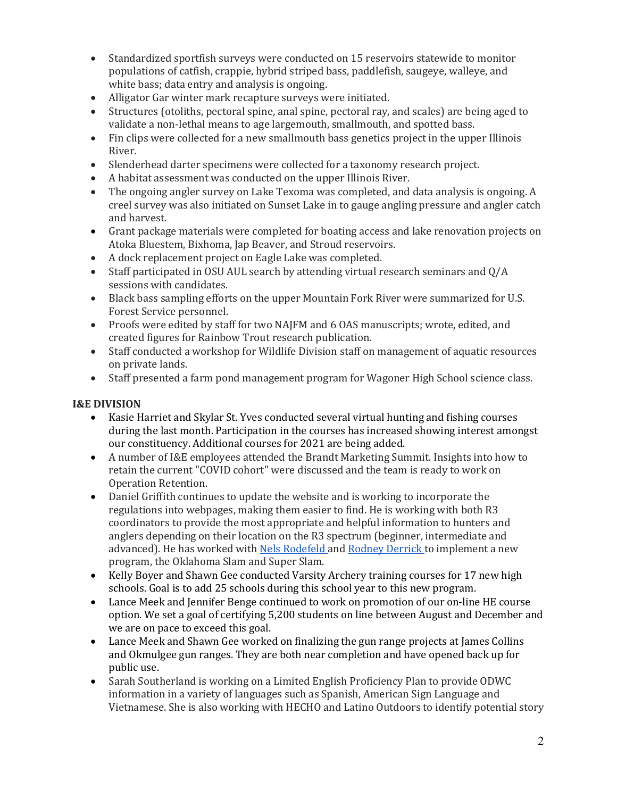- Standardized sportfish surveys were conducted on 15 reservoirs statewide to monitor populations of catfish, crappie, hybrid striped bass, paddlefish, saugeye, walleye, and white bass; data entry and analysis is ongoing.
- Alligator Gar winter mark recapture surveys were initiated.
- Structures (otoliths, pectoral spine, anal spine, pectoral ray, and scales) are being aged to validate a non-lethal means to age largemouth, smallmouth, and spotted bass.
- Fin clips were collected for a new smallmouth bass genetics project in the upper Illinois River.
- Slenderhead darter specimens were collected for a taxonomy research project.
- A habitat assessment was conducted on the upper Illinois River.
- The ongoing angler survey on Lake Texoma was completed, and data analysis is ongoing. A creel survey was also initiated on Sunset Lake in to gauge angling pressure and angler catch and harvest.
- Grant package materials were completed for boating access and lake renovation projects on Atoka Bluestem, Bixhoma, Jap Beaver, and Stroud reservoirs.
- A dock replacement project on Eagle Lake was completed.
- Staff participated in OSU AUL search by attending virtual research seminars and Q/A sessions with candidates.
- Black bass sampling efforts on the upper Mountain Fork River were summarized for U.S. Forest Service personnel.
- Proofs were edited by staff for two NAJFM and 6 OAS manuscripts; wrote, edited, and created figures for Rainbow Trout research publication.
- Staff conducted a workshop for Wildlife Division staff on management of aquatic resources on private lands.
- Staff presented a farm pond management program for Wagoner High School science class.

# **I&E DIVISION**

- Kasie Harriet and Skylar St. Yves conducted several virtual hunting and fishing courses during the last month. Participation in the courses has increased showing interest amongst our constituency. Additional courses for 2021 are being added.
- A number of I&E employees attended the Brandt Marketing Summit. Insights into how to retain the current "COVID cohort" were discussed and the team is ready to work on Operation Retention.
- Daniel Griffith continues to update the website and is working to incorporate the regulations into webpages, making them easier to find. He is working with both R3 coordinators to provide the most appropriate and helpful information to hunters and anglers depending on their location on the R3 spectrum (beginner, intermediate and advanced). He has worked with Nels Rodefeld and Rodney Derrick to implement a new program, the Oklahoma Slam and Super Slam.
- Kelly Boyer and Shawn Gee conducted Varsity Archery training courses for 17 new high schools. Goal is to add 25 schools during this school year to this new program.
- Lance Meek and Jennifer Benge continued to work on promotion of our on-line HE course option. We set a goal of certifying 5,200 students on line between August and December and we are on pace to exceed this goal.
- Lance Meek and Shawn Gee worked on finalizing the gun range projects at James Collins and Okmulgee gun ranges. They are both near completion and have opened back up for public use.
- Sarah Southerland is working on a Limited English Proficiency Plan to provide ODWC information in a variety of languages such as Spanish, American Sign Language and Vietnamese. She is also working with HECHO and Latino Outdoors to identify potential story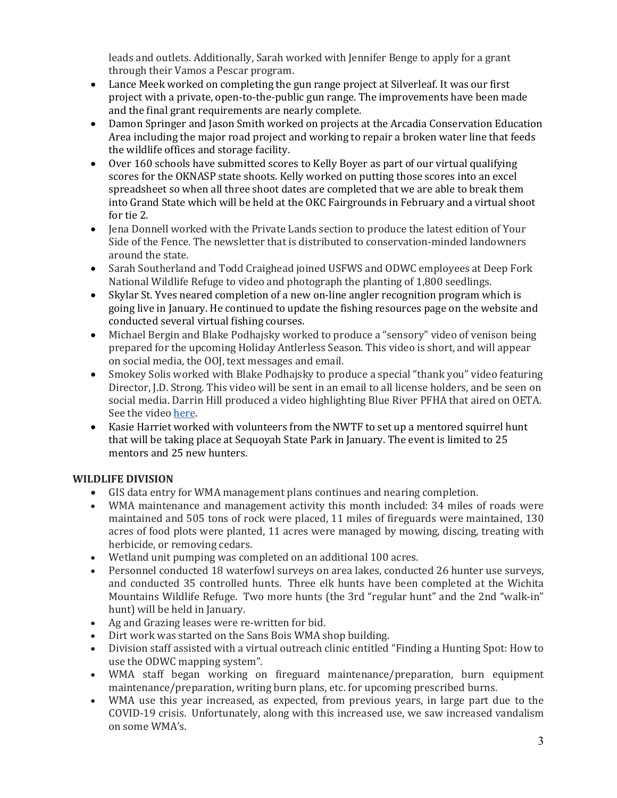leads and outlets. Additionally, Sarah worked with Jennifer Benge to apply for a grant through their Vamos a Pescar program.

- Lance Meek worked on completing the gun range project at Silverleaf. It was our first project with a private, open-to-the-public gun range. The improvements have been made and the final grant requirements are nearly complete.
- Damon Springer and Jason Smith worked on projects at the Arcadia Conservation Education Area including the major road project and working to repair a broken water line that feeds the wildlife offices and storage facility.
- Over 160 schools have submitted scores to Kelly Boyer as part of our virtual qualifying scores for the OKNASP state shoots. Kelly worked on putting those scores into an excel spreadsheet so when all three shoot dates are completed that we are able to break them into Grand State which will be held at the OKC Fairgrounds in February and a virtual shoot for tie 2.
- Jena Donnell worked with the Private Lands section to produce the latest edition of Your Side of the Fence. The newsletter that is distributed to conservation-minded landowners around the state.
- Sarah Southerland and Todd Craighead joined USFWS and ODWC employees at Deep Fork National Wildlife Refuge to video and photograph the planting of 1,800 seedlings.
- Skylar St. Yves neared completion of a new on-line angler recognition program which is going live in January. He continued to update the fishing resources page on the website and conducted several virtual fishing courses.
- Michael Bergin and Blake Podhajsky worked to produce a "sensory" video of venison being prepared for the upcoming Holiday Antlerless Season. This video is short, and will appear on social media, the OOJ, text messages and email.
- Smokey Solis worked with Blake Podhajsky to produce a special "thank you" video featuring Director, J.D. Strong. This video will be sent in an email to all license holders, and be seen on social media. Darrin Hill produced a video highlighting Blue River PFHA that aired on OETA. See the video [here.](https://www.youtube.com/watch?v=JEbE0Ntt7Yk)
- Kasie Harriet worked with volunteers from the NWTF to set up a mentored squirrel hunt that will be taking place at Sequoyah State Park in January. The event is limited to 25 mentors and 25 new hunters.

# **WILDLIFE DIVISION**

- GIS data entry for WMA management plans continues and nearing completion.
- WMA maintenance and management activity this month included: 34 miles of roads were maintained and 505 tons of rock were placed, 11 miles of fireguards were maintained, 130 acres of food plots were planted, 11 acres were managed by mowing, discing, treating with herbicide, or removing cedars.
- Wetland unit pumping was completed on an additional 100 acres.
- Personnel conducted 18 waterfowl surveys on area lakes, conducted 26 hunter use surveys, and conducted 35 controlled hunts. Three elk hunts have been completed at the Wichita Mountains Wildlife Refuge. Two more hunts (the 3rd "regular hunt" and the 2nd "walk-in" hunt) will be held in January.
- Ag and Grazing leases were re-written for bid.
- Dirt work was started on the Sans Bois WMA shop building.
- Division staff assisted with a virtual outreach clinic entitled "Finding a Hunting Spot: How to use the ODWC mapping system".
- WMA staff began working on fireguard maintenance/preparation, burn equipment maintenance/preparation, writing burn plans, etc. for upcoming prescribed burns.
- WMA use this year increased, as expected, from previous years, in large part due to the COVID-19 crisis. Unfortunately, along with this increased use, we saw increased vandalism on some WMA's.